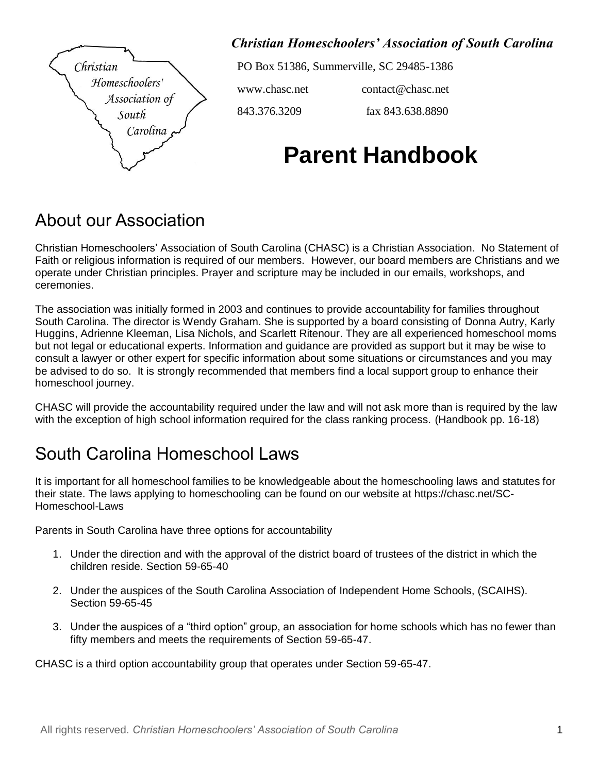

*Christian Homeschoolers' Association of South Carolina*

PO Box 51386, Summerville, SC 29485-1386

www.chasc.net [contact@chasc.net](mailto:ChristianHomeschoolersAssoc@gmail.com)

843.376.3209 fax 843.638.8890

# **Parent Handbook**

#### About our Association

Christian Homeschoolers' Association of South Carolina (CHASC) is a Christian Association. No Statement of Faith or religious information is required of our members. However, our board members are Christians and we operate under Christian principles. Prayer and scripture may be included in our emails, workshops, and ceremonies.

The association was initially formed in 2003 and continues to provide accountability for families throughout South Carolina. The director is Wendy Graham. She is supported by a board consisting of Donna Autry, Karly Huggins, Adrienne Kleeman, Lisa Nichols, and Scarlett Ritenour. They are all experienced homeschool moms but not legal or educational experts. Information and guidance are provided as support but it may be wise to consult a lawyer or other expert for specific information about some situations or circumstances and you may be advised to do so. It is strongly recommended that members find a local support group to enhance their homeschool journey.

CHASC will provide the accountability required under the law and will not ask more than is required by the law with the exception of high school information required for the class ranking process. (Handbook pp. 16-18)

### South Carolina Homeschool Laws

It is important for all homeschool families to be knowledgeable about the homeschooling laws and statutes for their state. The laws applying to homeschooling can be found on our website at https://chasc.net/SC-Homeschool-Laws

Parents in South Carolina have three options for accountability

- 1. Under the direction and with the approval of the district board of trustees of the district in which the children reside. Section 59-65-40
- 2. Under the auspices of the South Carolina Association of Independent Home Schools, (SCAIHS). Section 59-65-45
- 3. Under the auspices of a "third option" group, an association for home schools which has no fewer than fifty members and meets the requirements of Section 59-65-47.

CHASC is a third option accountability group that operates under Section 59-65-47.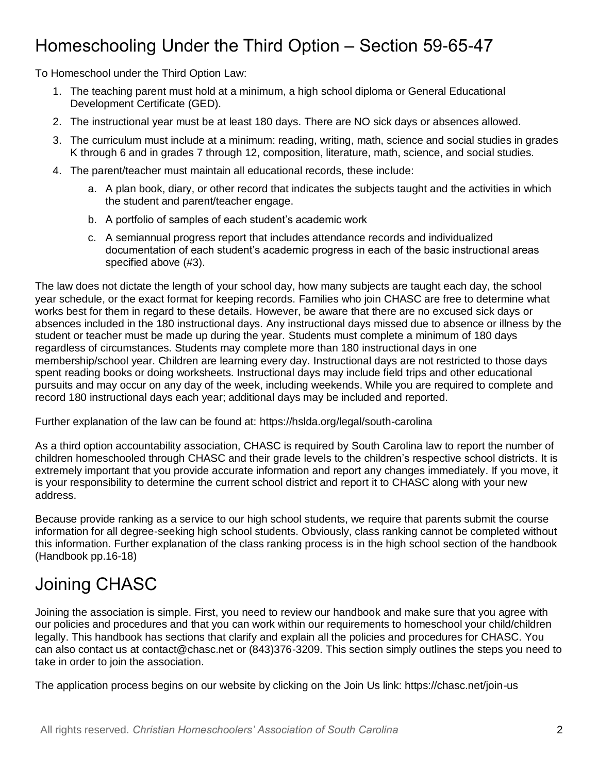# Homeschooling Under the Third Option – Section 59-65-47

To Homeschool under the Third Option Law:

- 1. The teaching parent must hold at a minimum, a high school diploma or General Educational Development Certificate (GED).
- 2. The instructional year must be at least 180 days. There are NO sick days or absences allowed.
- 3. The curriculum must include at a minimum: reading, writing, math, science and social studies in grades K through 6 and in grades 7 through 12, composition, literature, math, science, and social studies.
- 4. The parent/teacher must maintain all educational records, these include:
	- a. A plan book, diary, or other record that indicates the subjects taught and the activities in which the student and parent/teacher engage.
	- b. A portfolio of samples of each student's academic work
	- c. A semiannual progress report that includes attendance records and individualized documentation of each student's academic progress in each of the basic instructional areas specified above (#3).

The law does not dictate the length of your school day, how many subjects are taught each day, the school year schedule, or the exact format for keeping records. Families who join CHASC are free to determine what works best for them in regard to these details. However, be aware that there are no excused sick days or absences included in the 180 instructional days. Any instructional days missed due to absence or illness by the student or teacher must be made up during the year. Students must complete a minimum of 180 days regardless of circumstances. Students may complete more than 180 instructional days in one membership/school year. Children are learning every day. Instructional days are not restricted to those days spent reading books or doing worksheets. Instructional days may include field trips and other educational pursuits and may occur on any day of the week, including weekends. While you are required to complete and record 180 instructional days each year; additional days may be included and reported.

Further explanation of the law can be found at: https://hslda.org/legal/south-carolina

As a third option accountability association, CHASC is required by South Carolina law to report the number of children homeschooled through CHASC and their grade levels to the children's respective school districts. It is extremely important that you provide accurate information and report any changes immediately. If you move, it is your responsibility to determine the current school district and report it to CHASC along with your new address.

Because provide ranking as a service to our high school students, we require that parents submit the course information for all degree-seeking high school students. Obviously, class ranking cannot be completed without this information. Further explanation of the class ranking process is in the high school section of the handbook (Handbook pp.16-18)

# Joining CHASC

Joining the association is simple. First, you need to review our handbook and make sure that you agree with our policies and procedures and that you can work within our requirements to homeschool your child/children legally. This handbook has sections that clarify and explain all the policies and procedures for CHASC. You can also contact us at contact@chasc.net or (843)376-3209. This section simply outlines the steps you need to take in order to join the association.

The application process begins on our website by clicking on the Join Us link: https://chasc.net/join-us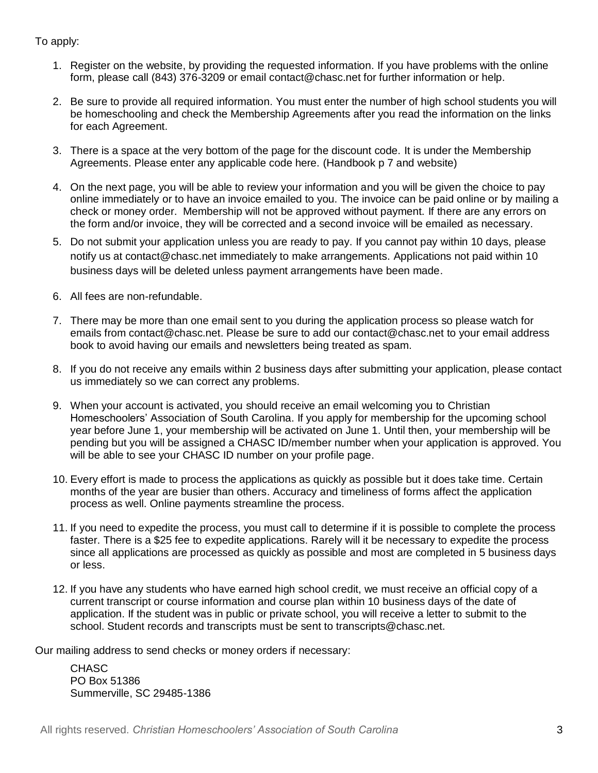To apply:

- 1. Register on the website, by providing the requested information. If you have problems with the online form, please call (843) 376-3209 or email contact@chasc.net for further information or help.
- 2. Be sure to provide all required information. You must enter the number of high school students you will be homeschooling and check the Membership Agreements after you read the information on the links for each Agreement.
- 3. There is a space at the very bottom of the page for the discount code. It is under the Membership Agreements. Please enter any applicable code here. (Handbook p 7 and website)
- 4. On the next page, you will be able to review your information and you will be given the choice to pay online immediately or to have an invoice emailed to you. The invoice can be paid online or by mailing a check or money order. Membership will not be approved without payment. If there are any errors on the form and/or invoice, they will be corrected and a second invoice will be emailed as necessary.
- 5. Do not submit your application unless you are ready to pay. If you cannot pay within 10 days, please notify us at contact@chasc.net immediately to make arrangements. Applications not paid within 10 business days will be deleted unless payment arrangements have been made.
- 6. All fees are non-refundable.
- 7. There may be more than one email sent to you during the application process so please watch for emails from contact@chasc.net. Please be sure to add our contact@chasc.net to your email address book to avoid having our emails and newsletters being treated as spam.
- 8. If you do not receive any emails within 2 business days after submitting your application, please contact us immediately so we can correct any problems.
- 9. When your account is activated, you should receive an email welcoming you to Christian Homeschoolers' Association of South Carolina. If you apply for membership for the upcoming school year before June 1, your membership will be activated on June 1. Until then, your membership will be pending but you will be assigned a CHASC ID/member number when your application is approved. You will be able to see your CHASC ID number on your profile page.
- 10. Every effort is made to process the applications as quickly as possible but it does take time. Certain months of the year are busier than others. Accuracy and timeliness of forms affect the application process as well. Online payments streamline the process.
- 11. If you need to expedite the process, you must call to determine if it is possible to complete the process faster. There is a \$25 fee to expedite applications. Rarely will it be necessary to expedite the process since all applications are processed as quickly as possible and most are completed in 5 business days or less.
- 12. If you have any students who have earned high school credit, we must receive an official copy of a current transcript or course information and course plan within 10 business days of the date of application. If the student was in public or private school, you will receive a letter to submit to the school. Student records and transcripts must be sent to transcripts@chasc.net.

Our mailing address to send checks or money orders if necessary:

CHASC PO Box 51386 Summerville, SC 29485-1386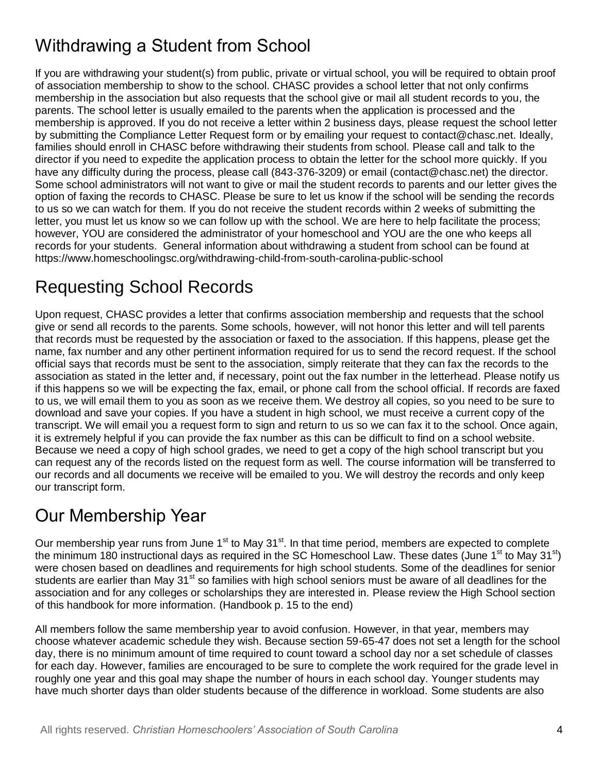# Withdrawing a Student from School

If you are withdrawing your student(s) from public, private or virtual school, you will be required to obtain proof of association membership to show to the school. CHASC provides a school letter that not only confirms membership in the association but also requests that the school give or mail all student records to you, the parents. The school letter is usually emailed to the parents when the application is processed and the membership is approved. If you do not receive a letter within 2 business days, please request the school letter by submitting the Compliance Letter Request form or by emailing your request to contact@chasc.net. Ideally, families should enroll in CHASC before withdrawing their students from school. Please call and talk to the director if you need to expedite the application process to obtain the letter for the school more quickly. If you have any difficulty during the process, please call (843-376-3209) or email (contact@chasc.net) the director. Some school administrators will not want to give or mail the student records to parents and our letter gives the option of faxing the records to CHASC. Please be sure to let us know if the school will be sending the records to us so we can watch for them. If you do not receive the student records within 2 weeks of submitting the letter, you must let us know so we can follow up with the school. We are here to help facilitate the process; however, YOU are considered the administrator of your homeschool and YOU are the one who keeps all records for your students. General information about withdrawing a student from school can be found at https://www.homeschoolingsc.org/withdrawing-child-from-south-carolina-public-school

# Requesting School Records

Upon request, CHASC provides a letter that confirms association membership and requests that the school give or send all records to the parents. Some schools, however, will not honor this letter and will tell parents that records must be requested by the association or faxed to the association. If this happens, please get the name, fax number and any other pertinent information required for us to send the record request. If the school official says that records must be sent to the association, simply reiterate that they can fax the records to the association as stated in the letter and, if necessary, point out the fax number in the letterhead. Please notify us if this happens so we will be expecting the fax, email, or phone call from the school official. If records are faxed to us, we will email them to you as soon as we receive them. We destroy all copies, so you need to be sure to download and save your copies. If you have a student in high school, we must receive a current copy of the transcript. We will email you a request form to sign and return to us so we can fax it to the school. Once again, it is extremely helpful if you can provide the fax number as this can be difficult to find on a school website. Because we need a copy of high school grades, we need to get a copy of the high school transcript but you can request any of the records listed on the request form as well. The course information will be transferred to our records and all documents we receive will be emailed to you. We will destroy the records and only keep our transcript form.

# Our Membership Year

Our membership year runs from June 1<sup>st</sup> to May 31<sup>st</sup>. In that time period, members are expected to complete the minimum 180 instructional days as required in the SC Homeschool Law. These dates (June  $1<sup>st</sup>$  to May 31 $<sup>st</sup>$ )</sup> were chosen based on deadlines and requirements for high school students. Some of the deadlines for senior students are earlier than May 31<sup>st</sup> so families with high school seniors must be aware of all deadlines for the association and for any colleges or scholarships they are interested in. Please review the High School section of this handbook for more information. (Handbook p. 15 to the end)

All members follow the same membership year to avoid confusion. However, in that year, members may choose whatever academic schedule they wish. Because section 59-65-47 does not set a length for the school day, there is no minimum amount of time required to count toward a school day nor a set schedule of classes for each day. However, families are encouraged to be sure to complete the work required for the grade level in roughly one year and this goal may shape the number of hours in each school day. Younger students may have much shorter days than older students because of the difference in workload. Some students are also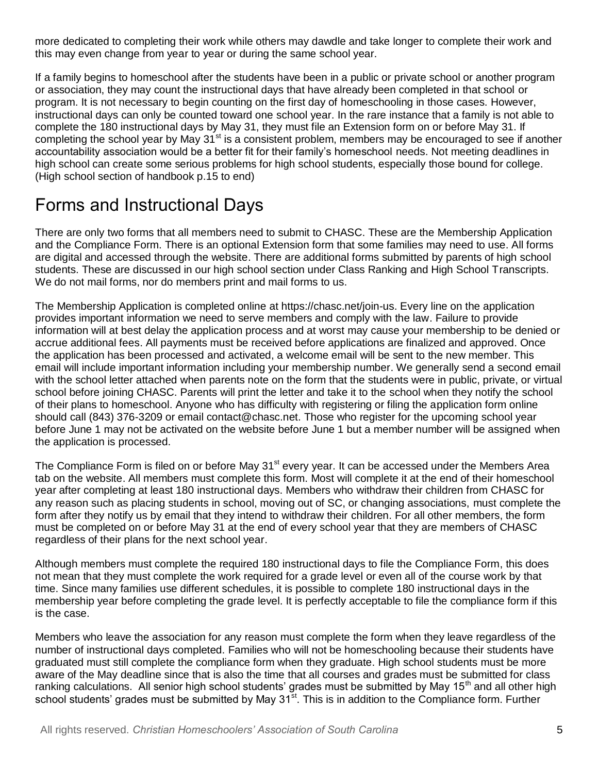more dedicated to completing their work while others may dawdle and take longer to complete their work and this may even change from year to year or during the same school year.

If a family begins to homeschool after the students have been in a public or private school or another program or association, they may count the instructional days that have already been completed in that school or program. It is not necessary to begin counting on the first day of homeschooling in those cases. However, instructional days can only be counted toward one school year. In the rare instance that a family is not able to complete the 180 instructional days by May 31, they must file an Extension form on or before May 31. If completing the school year by May 31<sup>st</sup> is a consistent problem, members may be encouraged to see if another accountability association would be a better fit for their family's homeschool needs. Not meeting deadlines in high school can create some serious problems for high school students, especially those bound for college. (High school section of handbook p.15 to end)

# Forms and Instructional Days

There are only two forms that all members need to submit to CHASC. These are the Membership Application and the Compliance Form. There is an optional Extension form that some families may need to use. All forms are digital and accessed through the website. There are additional forms submitted by parents of high school students. These are discussed in our high school section under Class Ranking and High School Transcripts. We do not mail forms, nor do members print and mail forms to us.

The Membership Application is completed online at https://chasc.net/join-us. Every line on the application provides important information we need to serve members and comply with the law. Failure to provide information will at best delay the application process and at worst may cause your membership to be denied or accrue additional fees. All payments must be received before applications are finalized and approved. Once the application has been processed and activated, a welcome email will be sent to the new member. This email will include important information including your membership number. We generally send a second email with the school letter attached when parents note on the form that the students were in public, private, or virtual school before joining CHASC. Parents will print the letter and take it to the school when they notify the school of their plans to homeschool. Anyone who has difficulty with registering or filing the application form online should call (843) 376-3209 or email contact@chasc.net. Those who register for the upcoming school year before June 1 may not be activated on the website before June 1 but a member number will be assigned when the application is processed.

The Compliance Form is filed on or before May 31<sup>st</sup> every year. It can be accessed under the Members Area tab on the website. All members must complete this form. Most will complete it at the end of their homeschool year after completing at least 180 instructional days. Members who withdraw their children from CHASC for any reason such as placing students in school, moving out of SC, or changing associations, must complete the form after they notify us by email that they intend to withdraw their children. For all other members, the form must be completed on or before May 31 at the end of every school year that they are members of CHASC regardless of their plans for the next school year.

Although members must complete the required 180 instructional days to file the Compliance Form, this does not mean that they must complete the work required for a grade level or even all of the course work by that time. Since many families use different schedules, it is possible to complete 180 instructional days in the membership year before completing the grade level. It is perfectly acceptable to file the compliance form if this is the case.

Members who leave the association for any reason must complete the form when they leave regardless of the number of instructional days completed. Families who will not be homeschooling because their students have graduated must still complete the compliance form when they graduate. High school students must be more aware of the May deadline since that is also the time that all courses and grades must be submitted for class ranking calculations. All senior high school students' grades must be submitted by May 15<sup>th</sup> and all other high school students' grades must be submitted by May 31<sup>st</sup>. This is in addition to the Compliance form. Further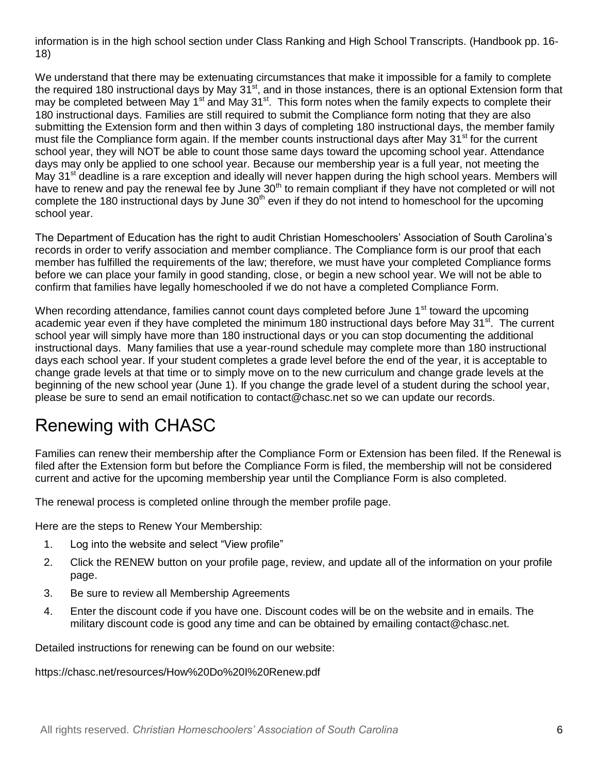information is in the high school section under Class Ranking and High School Transcripts. (Handbook pp. 16- 18)

We understand that there may be extenuating circumstances that make it impossible for a family to complete the required 180 instructional days by May 31<sup>st</sup>, and in those instances, there is an optional Extension form that may be completed between May 1<sup>st</sup> and May 31<sup>st</sup>. This form notes when the family expects to complete their 180 instructional days. Families are still required to submit the Compliance form noting that they are also submitting the Extension form and then within 3 days of completing 180 instructional days, the member family must file the Compliance form again. If the member counts instructional days after May 31<sup>st</sup> for the current school year, they will NOT be able to count those same days toward the upcoming school year. Attendance days may only be applied to one school year. Because our membership year is a full year, not meeting the May 31<sup>st</sup> deadline is a rare exception and ideally will never happen during the high school years. Members will have to renew and pay the renewal fee by June 30<sup>th</sup> to remain compliant if they have not completed or will not complete the 180 instructional days by June  $30<sup>th</sup>$  even if they do not intend to homeschool for the upcoming school year.

The Department of Education has the right to audit Christian Homeschoolers' Association of South Carolina's records in order to verify association and member compliance. The Compliance form is our proof that each member has fulfilled the requirements of the law; therefore, we must have your completed Compliance forms before we can place your family in good standing, close, or begin a new school year. We will not be able to confirm that families have legally homeschooled if we do not have a completed Compliance Form.

When recording attendance, families cannot count days completed before June 1<sup>st</sup> toward the upcoming academic year even if they have completed the minimum 180 instructional days before May  $31<sup>st</sup>$ . The current school year will simply have more than 180 instructional days or you can stop documenting the additional instructional days. Many families that use a year-round schedule may complete more than 180 instructional days each school year. If your student completes a grade level before the end of the year, it is acceptable to change grade levels at that time or to simply move on to the new curriculum and change grade levels at the beginning of the new school year (June 1). If you change the grade level of a student during the school year, please be sure to send an email notification to contact@chasc.net so we can update our records.

### Renewing with CHASC

Families can renew their membership after the Compliance Form or Extension has been filed. If the Renewal is filed after the Extension form but before the Compliance Form is filed, the membership will not be considered current and active for the upcoming membership year until the Compliance Form is also completed.

The renewal process is completed online through the member profile page.

Here are the steps to Renew Your Membership:

- 1. Log into the website and select "View profile"
- 2. Click the RENEW button on your profile page, review, and update all of the information on your profile page.
- 3. Be sure to review all Membership Agreements
- 4. Enter the discount code if you have one. Discount codes will be on the website and in emails. The military discount code is good any time and can be obtained by emailing contact@chasc.net.

Detailed instructions for renewing can be found on our website:

https://chasc.net/resources/How%20Do%20I%20Renew.pdf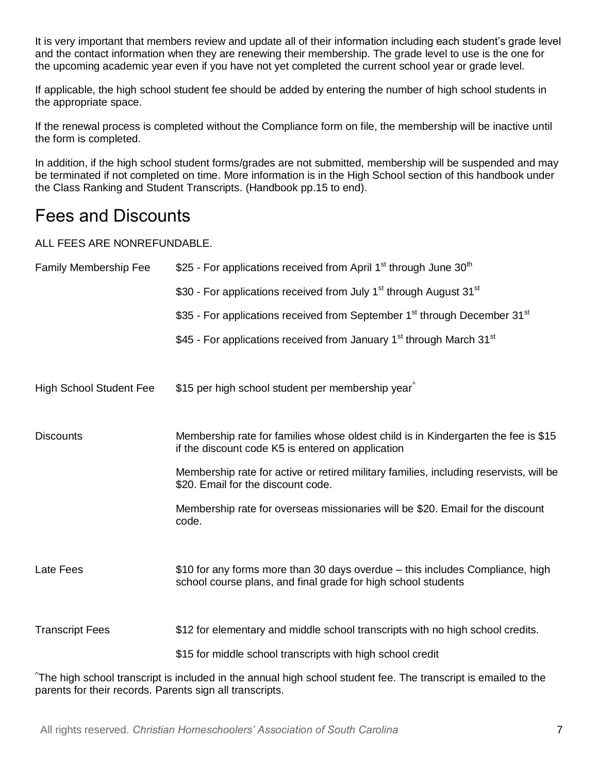It is very important that members review and update all of their information including each student's grade level and the contact information when they are renewing their membership. The grade level to use is the one for the upcoming academic year even if you have not yet completed the current school year or grade level.

If applicable, the high school student fee should be added by entering the number of high school students in the appropriate space.

If the renewal process is completed without the Compliance form on file, the membership will be inactive until the form is completed.

In addition, if the high school student forms/grades are not submitted, membership will be suspended and may be terminated if not completed on time. More information is in the High School section of this handbook under the Class Ranking and Student Transcripts. (Handbook pp.15 to end).

#### Fees and Discounts

ALL FEES ARE NONREFUNDABLE.

| <b>Family Membership Fee</b>   | \$25 - For applications received from April 1 <sup>st</sup> through June 30 <sup>th</sup>                                                      |
|--------------------------------|------------------------------------------------------------------------------------------------------------------------------------------------|
|                                | \$30 - For applications received from July 1 <sup>st</sup> through August 31 <sup>st</sup>                                                     |
|                                | \$35 - For applications received from September 1 <sup>st</sup> through December 31 <sup>st</sup>                                              |
|                                | \$45 - For applications received from January 1 <sup>st</sup> through March 31 <sup>st</sup>                                                   |
| <b>High School Student Fee</b> | \$15 per high school student per membership year                                                                                               |
| <b>Discounts</b>               | Membership rate for families whose oldest child is in Kindergarten the fee is \$15<br>if the discount code K5 is entered on application        |
|                                | Membership rate for active or retired military families, including reservists, will be<br>\$20. Email for the discount code.                   |
|                                | Membership rate for overseas missionaries will be \$20. Email for the discount<br>code.                                                        |
| Late Fees                      | \$10 for any forms more than 30 days overdue – this includes Compliance, high<br>school course plans, and final grade for high school students |
| <b>Transcript Fees</b>         | \$12 for elementary and middle school transcripts with no high school credits.                                                                 |
|                                | \$15 for middle school transcripts with high school credit                                                                                     |

^The high school transcript is included in the annual high school student fee. The transcript is emailed to the parents for their records. Parents sign all transcripts.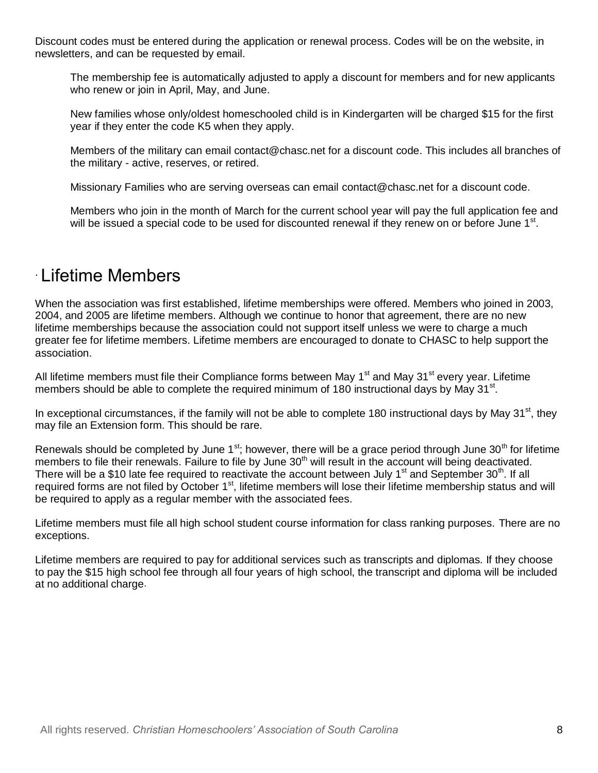Discount codes must be entered during the application or renewal process. Codes will be on the website, in newsletters, and can be requested by email.

The membership fee is automatically adjusted to apply a discount for members and for new applicants who renew or join in April, May, and June.

New families whose only/oldest homeschooled child is in Kindergarten will be charged \$15 for the first year if they enter the code K5 when they apply.

Members of the military can email contact@chasc.net for a discount code. This includes all branches of the military - active, reserves, or retired.

Missionary Families who are serving overseas can email contact@chasc.net for a discount code.

Members who join in the month of March for the current school year will pay the full application fee and will be issued a special code to be used for discounted renewal if they renew on or before June 1<sup>st</sup>.

#### . Lifetime Members

When the association was first established, lifetime memberships were offered. Members who joined in 2003, 2004, and 2005 are lifetime members. Although we continue to honor that agreement, there are no new lifetime memberships because the association could not support itself unless we were to charge a much greater fee for lifetime members. Lifetime members are encouraged to donate to CHASC to help support the association.

All lifetime members must file their Compliance forms between May  $1<sup>st</sup>$  and May  $31<sup>st</sup>$  every year. Lifetime members should be able to complete the required minimum of 180 instructional days by May 31 $^{\rm st}$ .

In exceptional circumstances, if the family will not be able to complete 180 instructional days by May  $31<sup>st</sup>$ , they may file an Extension form. This should be rare.

Renewals should be completed by June  $1^{st}$ ; however, there will be a grace period through June 30<sup>th</sup> for lifetime members to file their renewals. Failure to file by June 30<sup>th</sup> will result in the account will being deactivated. There will be a \$10 late fee required to reactivate the account between July 1<sup>st</sup> and September 30<sup>th</sup>. If all required forms are not filed by October 1<sup>st</sup>, lifetime members will lose their lifetime membership status and will be required to apply as a regular member with the associated fees.

Lifetime members must file all high school student course information for class ranking purposes. There are no exceptions.

Lifetime members are required to pay for additional services such as transcripts and diplomas. If they choose to pay the \$15 high school fee through all four years of high school, the transcript and diploma will be included at no additional charge.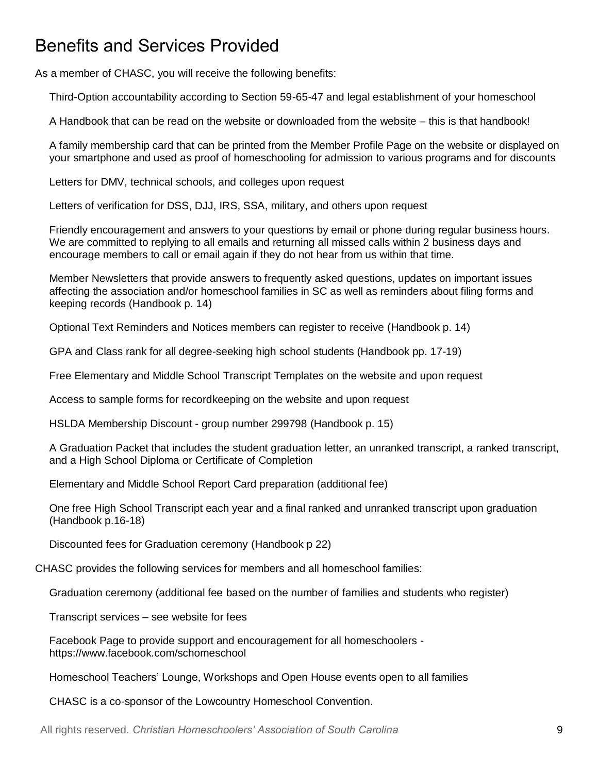#### Benefits and Services Provided

As a member of CHASC, you will receive the following benefits:

Third-Option accountability according to Section 59-65-47 and legal establishment of your homeschool

A Handbook that can be read on the website or downloaded from the website – this is that handbook!

A family membership card that can be printed from the Member Profile Page on the website or displayed on your smartphone and used as proof of homeschooling for admission to various programs and for discounts

Letters for DMV, technical schools, and colleges upon request

Letters of verification for DSS, DJJ, IRS, SSA, military, and others upon request

Friendly encouragement and answers to your questions by email or phone during regular business hours. We are committed to replying to all emails and returning all missed calls within 2 business days and encourage members to call or email again if they do not hear from us within that time.

Member Newsletters that provide answers to frequently asked questions, updates on important issues affecting the association and/or homeschool families in SC as well as reminders about filing forms and keeping records (Handbook p. 14)

Optional Text Reminders and Notices members can register to receive (Handbook p. 14)

GPA and Class rank for all degree-seeking high school students (Handbook pp. 17-19)

Free Elementary and Middle School Transcript Templates on the website and upon request

Access to sample forms for recordkeeping on the website and upon request

HSLDA Membership Discount - group number 299798 (Handbook p. 15)

A Graduation Packet that includes the student graduation letter, an unranked transcript, a ranked transcript, and a High School Diploma or Certificate of Completion

Elementary and Middle School Report Card preparation (additional fee)

One free High School Transcript each year and a final ranked and unranked transcript upon graduation (Handbook p.16-18)

Discounted fees for Graduation ceremony (Handbook p 22)

CHASC provides the following services for members and all homeschool families:

Graduation ceremony (additional fee based on the number of families and students who register)

Transcript services – see website for fees

Facebook Page to provide support and encouragement for all homeschoolers https://www.facebook.com/schomeschool

Homeschool Teachers' Lounge, Workshops and Open House events open to all families

CHASC is a co-sponsor of the Lowcountry Homeschool Convention.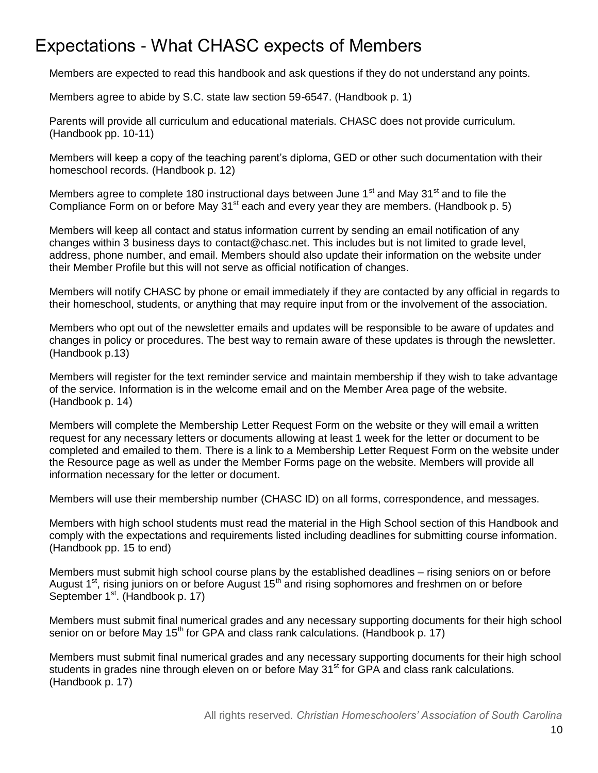# Expectations - What CHASC expects of Members

Members are expected to read this handbook and ask questions if they do not understand any points.

Members agree to abide by S.C. state law section 59-6547. (Handbook p. 1)

Parents will provide all curriculum and educational materials. CHASC does not provide curriculum. (Handbook pp. 10-11)

Members will keep a copy of the teaching parent's diploma, GED or other such documentation with their homeschool records. (Handbook p. 12)

Members agree to complete 180 instructional days between June  $1<sup>st</sup>$  and May 31 $<sup>st</sup>$  and to file the</sup> Compliance Form on or before May  $31<sup>st</sup>$  each and every year they are members. (Handbook p. 5)

Members will keep all contact and status information current by sending an email notification of any changes within 3 business days to contact@chasc.net. This includes but is not limited to grade level, address, phone number, and email. Members should also update their information on the website under their Member Profile but this will not serve as official notification of changes.

Members will notify CHASC by phone or email immediately if they are contacted by any official in regards to their homeschool, students, or anything that may require input from or the involvement of the association.

Members who opt out of the newsletter emails and updates will be responsible to be aware of updates and changes in policy or procedures. The best way to remain aware of these updates is through the newsletter. (Handbook p.13)

Members will register for the text reminder service and maintain membership if they wish to take advantage of the service. Information is in the welcome email and on the Member Area page of the website. (Handbook p. 14)

Members will complete the Membership Letter Request Form on the website or they will email a written request for any necessary letters or documents allowing at least 1 week for the letter or document to be completed and emailed to them. There is a link to a Membership Letter Request Form on the website under the Resource page as well as under the Member Forms page on the website. Members will provide all information necessary for the letter or document.

Members will use their membership number (CHASC ID) on all forms, correspondence, and messages.

Members with high school students must read the material in the High School section of this Handbook and comply with the expectations and requirements listed including deadlines for submitting course information. (Handbook pp. 15 to end)

Members must submit high school course plans by the established deadlines – rising seniors on or before August  $1<sup>st</sup>$ , rising juniors on or before August 15<sup>th</sup> and rising sophomores and freshmen on or before September 1<sup>st</sup>. (Handbook p. 17)

Members must submit final numerical grades and any necessary supporting documents for their high school senior on or before May  $15<sup>th</sup>$  for GPA and class rank calculations. (Handbook p. 17)

Members must submit final numerical grades and any necessary supporting documents for their high school students in grades nine through eleven on or before May 31<sup>st</sup> for GPA and class rank calculations. (Handbook p. 17)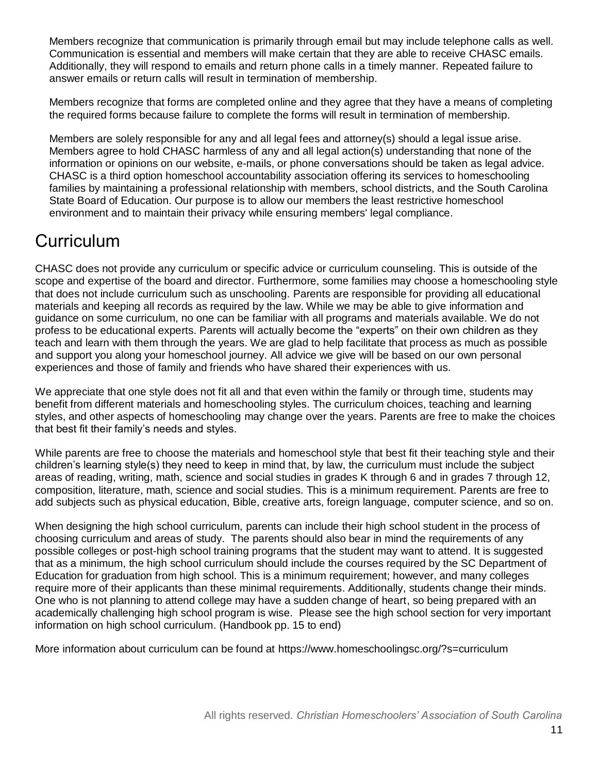Members recognize that communication is primarily through email but may include telephone calls as well. Communication is essential and members will make certain that they are able to receive CHASC emails. Additionally, they will respond to emails and return phone calls in a timely manner. Repeated failure to answer emails or return calls will result in termination of membership.

Members recognize that forms are completed online and they agree that they have a means of completing the required forms because failure to complete the forms will result in termination of membership.

Members are solely responsible for any and all legal fees and attorney(s) should a legal issue arise. Members agree to hold CHASC harmless of any and all legal action(s) understanding that none of the information or opinions on our website, e-mails, or phone conversations should be taken as legal advice. CHASC is a third option homeschool accountability association offering its services to homeschooling families by maintaining a professional relationship with members, school districts, and the South Carolina State Board of Education. Our purpose is to allow our members the least restrictive homeschool environment and to maintain their privacy while ensuring members' legal compliance.

# **Curriculum**

CHASC does not provide any curriculum or specific advice or curriculum counseling. This is outside of the scope and expertise of the board and director. Furthermore, some families may choose a homeschooling style that does not include curriculum such as unschooling. Parents are responsible for providing all educational materials and keeping all records as required by the law. While we may be able to give information and guidance on some curriculum, no one can be familiar with all programs and materials available. We do not profess to be educational experts. Parents will actually become the "experts" on their own children as they teach and learn with them through the years. We are glad to help facilitate that process as much as possible and support you along your homeschool journey. All advice we give will be based on our own personal experiences and those of family and friends who have shared their experiences with us.

We appreciate that one style does not fit all and that even within the family or through time, students may benefit from different materials and homeschooling styles. The curriculum choices, teaching and learning styles, and other aspects of homeschooling may change over the years. Parents are free to make the choices that best fit their family's needs and styles.

While parents are free to choose the materials and homeschool style that best fit their teaching style and their children's learning style(s) they need to keep in mind that, by law, the curriculum must include the subject areas of reading, writing, math, science and social studies in grades K through 6 and in grades 7 through 12, composition, literature, math, science and social studies. This is a minimum requirement. Parents are free to add subjects such as physical education, Bible, creative arts, foreign language, computer science, and so on.

When designing the high school curriculum, parents can include their high school student in the process of choosing curriculum and areas of study. The parents should also bear in mind the requirements of any possible colleges or post-high school training programs that the student may want to attend. It is suggested that as a minimum, the high school curriculum should include the courses required by the SC Department of Education for graduation from high school. This is a minimum requirement; however, and many colleges require more of their applicants than these minimal requirements. Additionally, students change their minds. One who is not planning to attend college may have a sudden change of heart, so being prepared with an academically challenging high school program is wise. Please see the high school section for very important information on high school curriculum. (Handbook pp. 15 to end)

More information about curriculum can be found at https://www.homeschoolingsc.org/?s=curriculum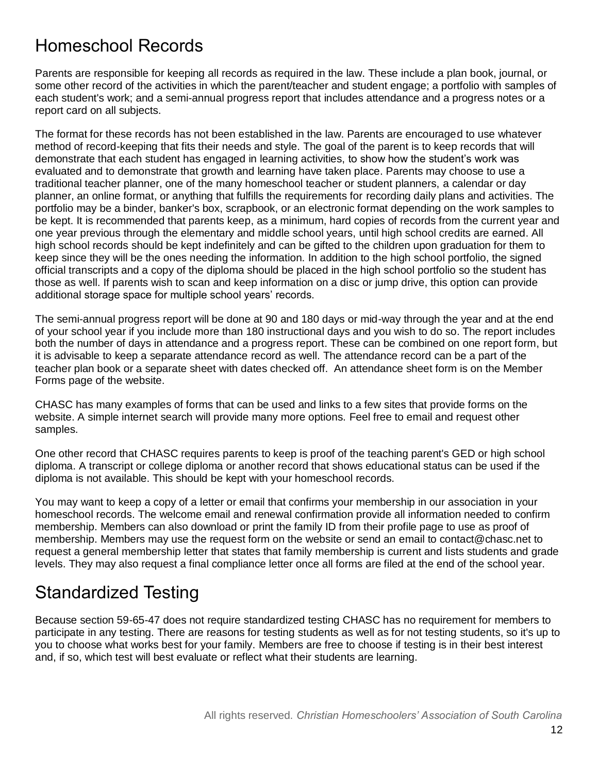#### Homeschool Records

Parents are responsible for keeping all records as required in the law. These include a plan book, journal, or some other record of the activities in which the parent/teacher and student engage; a portfolio with samples of each student's work; and a semi-annual progress report that includes attendance and a progress notes or a report card on all subjects.

The format for these records has not been established in the law. Parents are encouraged to use whatever method of record-keeping that fits their needs and style. The goal of the parent is to keep records that will demonstrate that each student has engaged in learning activities, to show how the student's work was evaluated and to demonstrate that growth and learning have taken place. Parents may choose to use a traditional teacher planner, one of the many homeschool teacher or student planners, a calendar or day planner, an online format, or anything that fulfills the requirements for recording daily plans and activities. The portfolio may be a binder, banker's box, scrapbook, or an electronic format depending on the work samples to be kept. It is recommended that parents keep, as a minimum, hard copies of records from the current year and one year previous through the elementary and middle school years, until high school credits are earned. All high school records should be kept indefinitely and can be gifted to the children upon graduation for them to keep since they will be the ones needing the information. In addition to the high school portfolio, the signed official transcripts and a copy of the diploma should be placed in the high school portfolio so the student has those as well. If parents wish to scan and keep information on a disc or jump drive, this option can provide additional storage space for multiple school years' records.

The semi-annual progress report will be done at 90 and 180 days or mid-way through the year and at the end of your school year if you include more than 180 instructional days and you wish to do so. The report includes both the number of days in attendance and a progress report. These can be combined on one report form, but it is advisable to keep a separate attendance record as well. The attendance record can be a part of the teacher plan book or a separate sheet with dates checked off. An attendance sheet form is on the Member Forms page of the website.

CHASC has many examples of forms that can be used and links to a few sites that provide forms on the website. A simple internet search will provide many more options. Feel free to email and request other samples.

One other record that CHASC requires parents to keep is proof of the teaching parent's GED or high school diploma. A transcript or college diploma or another record that shows educational status can be used if the diploma is not available. This should be kept with your homeschool records.

You may want to keep a copy of a letter or email that confirms your membership in our association in your homeschool records. The welcome email and renewal confirmation provide all information needed to confirm membership. Members can also download or print the family ID from their profile page to use as proof of membership. Members may use the request form on the website or send an email to contact@chasc.net to request a general membership letter that states that family membership is current and lists students and grade levels. They may also request a final compliance letter once all forms are filed at the end of the school year.

### Standardized Testing

Because section 59-65-47 does not require standardized testing CHASC has no requirement for members to participate in any testing. There are reasons for testing students as well as for not testing students, so it's up to you to choose what works best for your family. Members are free to choose if testing is in their best interest and, if so, which test will best evaluate or reflect what their students are learning.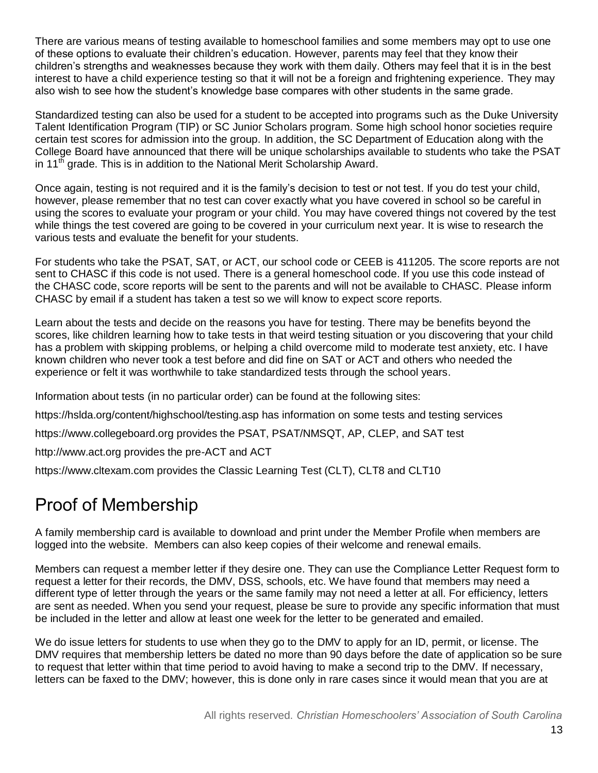There are various means of testing available to homeschool families and some members may opt to use one of these options to evaluate their children's education. However, parents may feel that they know their children's strengths and weaknesses because they work with them daily. Others may feel that it is in the best interest to have a child experience testing so that it will not be a foreign and frightening experience. They may also wish to see how the student's knowledge base compares with other students in the same grade.

Standardized testing can also be used for a student to be accepted into programs such as the Duke University Talent Identification Program (TIP) or SC Junior Scholars program. Some high school honor societies require certain test scores for admission into the group. In addition, the SC Department of Education along with the College Board have announced that there will be unique scholarships available to students who take the PSAT in 11<sup>th</sup> grade. This is in addition to the National Merit Scholarship Award.

Once again, testing is not required and it is the family's decision to test or not test. If you do test your child, however, please remember that no test can cover exactly what you have covered in school so be careful in using the scores to evaluate your program or your child. You may have covered things not covered by the test while things the test covered are going to be covered in your curriculum next year. It is wise to research the various tests and evaluate the benefit for your students.

For students who take the PSAT, SAT, or ACT, our school code or CEEB is 411205. The score reports are not sent to CHASC if this code is not used. There is a general homeschool code. If you use this code instead of the CHASC code, score reports will be sent to the parents and will not be available to CHASC. Please inform CHASC by email if a student has taken a test so we will know to expect score reports.

Learn about the tests and decide on the reasons you have for testing. There may be benefits beyond the scores, like children learning how to take tests in that weird testing situation or you discovering that your child has a problem with skipping problems, or helping a child overcome mild to moderate test anxiety, etc. I have known children who never took a test before and did fine on SAT or ACT and others who needed the experience or felt it was worthwhile to take standardized tests through the school years.

Information about tests (in no particular order) can be found at the following sites:

https://hslda.org/content/highschool/testing.asp has information on some tests and testing services

https://www.collegeboard.org provides the PSAT, PSAT/NMSQT, AP, CLEP, and SAT test

http://www.act.org provides the pre-ACT and ACT

https://www.cltexam.com provides the Classic Learning Test (CLT), CLT8 and CLT10

### Proof of Membership

A family membership card is available to download and print under the Member Profile when members are logged into the website. Members can also keep copies of their welcome and renewal emails.

Members can request a member letter if they desire one. They can use the Compliance Letter Request form to request a letter for their records, the DMV, DSS, schools, etc. We have found that members may need a different type of letter through the years or the same family may not need a letter at all. For efficiency, letters are sent as needed. When you send your request, please be sure to provide any specific information that must be included in the letter and allow at least one week for the letter to be generated and emailed.

We do issue letters for students to use when they go to the DMV to apply for an ID, permit, or license. The DMV requires that membership letters be dated no more than 90 days before the date of application so be sure to request that letter within that time period to avoid having to make a second trip to the DMV. If necessary, letters can be faxed to the DMV; however, this is done only in rare cases since it would mean that you are at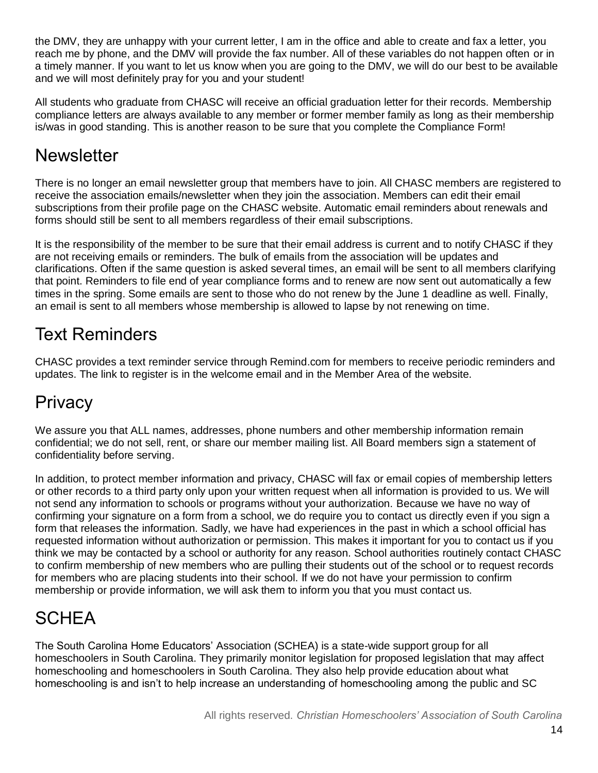the DMV, they are unhappy with your current letter, I am in the office and able to create and fax a letter, you reach me by phone, and the DMV will provide the fax number. All of these variables do not happen often or in a timely manner. If you want to let us know when you are going to the DMV, we will do our best to be available and we will most definitely pray for you and your student!

All students who graduate from CHASC will receive an official graduation letter for their records. Membership compliance letters are always available to any member or former member family as long as their membership is/was in good standing. This is another reason to be sure that you complete the Compliance Form!

### **Newsletter**

There is no longer an email newsletter group that members have to join. All CHASC members are registered to receive the association emails/newsletter when they join the association. Members can edit their email subscriptions from their profile page on the CHASC website. Automatic email reminders about renewals and forms should still be sent to all members regardless of their email subscriptions.

It is the responsibility of the member to be sure that their email address is current and to notify CHASC if they are not receiving emails or reminders. The bulk of emails from the association will be updates and clarifications. Often if the same question is asked several times, an email will be sent to all members clarifying that point. Reminders to file end of year compliance forms and to renew are now sent out automatically a few times in the spring. Some emails are sent to those who do not renew by the June 1 deadline as well. Finally, an email is sent to all members whose membership is allowed to lapse by not renewing on time.

### Text Reminders

CHASC provides a text reminder service through Remind.com for members to receive periodic reminders and updates. The link to register is in the welcome email and in the Member Area of the website.

# **Privacy**

We assure you that ALL names, addresses, phone numbers and other membership information remain confidential; we do not sell, rent, or share our member mailing list. All Board members sign a statement of confidentiality before serving.

In addition, to protect member information and privacy, CHASC will fax or email copies of membership letters or other records to a third party only upon your written request when all information is provided to us. We will not send any information to schools or programs without your authorization. Because we have no way of confirming your signature on a form from a school, we do require you to contact us directly even if you sign a form that releases the information. Sadly, we have had experiences in the past in which a school official has requested information without authorization or permission. This makes it important for you to contact us if you think we may be contacted by a school or authority for any reason. School authorities routinely contact CHASC to confirm membership of new members who are pulling their students out of the school or to request records for members who are placing students into their school. If we do not have your permission to confirm membership or provide information, we will ask them to inform you that you must contact us.

# **SCHEA**

The South Carolina Home Educators' Association (SCHEA) is a state-wide support group for all homeschoolers in South Carolina. They primarily monitor legislation for proposed legislation that may affect homeschooling and homeschoolers in South Carolina. They also help provide education about what homeschooling is and isn't to help increase an understanding of homeschooling among the public and SC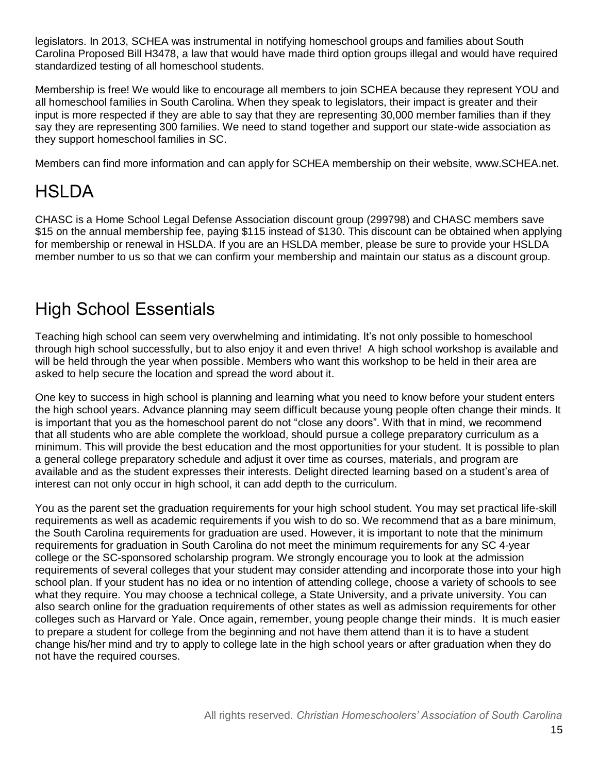legislators. In 2013, SCHEA was instrumental in notifying homeschool groups and families about South Carolina Proposed Bill H3478, a law that would have made third option groups illegal and would have required standardized testing of all homeschool students.

Membership is free! We would like to encourage all members to join SCHEA because they represent YOU and all homeschool families in South Carolina. When they speak to legislators, their impact is greater and their input is more respected if they are able to say that they are representing 30,000 member families than if they say they are representing 300 families. We need to stand together and support our state-wide association as they support homeschool families in SC.

Members can find more information and can apply for SCHEA membership on their website, www.SCHEA.net.

# **HSLDA**

CHASC is a [Home School Legal Defense Association](http://www.hslda.org/a/5115096) discount group (299798) and CHASC members save \$15 on the annual membership fee, paying \$115 instead of \$130. This discount can be obtained when applying for membership or renewal in HSLDA. If you are an HSLDA member, please be sure to provide your HSLDA member number to us so that we can confirm your membership and maintain our status as a discount group.

### High School Essentials

Teaching high school can seem very overwhelming and intimidating. It's not only possible to homeschool through high school successfully, but to also enjoy it and even thrive! A high school workshop is available and will be held through the year when possible. Members who want this workshop to be held in their area are asked to help secure the location and spread the word about it.

One key to success in high school is planning and learning what you need to know before your student enters the high school years. Advance planning may seem difficult because young people often change their minds. It is important that you as the homeschool parent do not "close any doors". With that in mind, we recommend that all students who are able complete the workload, should pursue a college preparatory curriculum as a minimum. This will provide the best education and the most opportunities for your student. It is possible to plan a general college preparatory schedule and adjust it over time as courses, materials, and program are available and as the student expresses their interests. Delight directed learning based on a student's area of interest can not only occur in high school, it can add depth to the curriculum.

You as the parent set the graduation requirements for your high school student. You may set practical life-skill requirements as well as academic requirements if you wish to do so. We recommend that as a bare minimum, the South Carolina requirements for graduation are used. However, it is important to note that the minimum requirements for graduation in South Carolina do not meet the minimum requirements for any SC 4-year college or the SC-sponsored scholarship program. We strongly encourage you to look at the admission requirements of several colleges that your student may consider attending and incorporate those into your high school plan. If your student has no idea or no intention of attending college, choose a variety of schools to see what they require. You may choose a technical college, a State University, and a private university. You can also search online for the graduation requirements of other states as well as admission requirements for other colleges such as Harvard or Yale. Once again, remember, young people change their minds. It is much easier to prepare a student for college from the beginning and not have them attend than it is to have a student change his/her mind and try to apply to college late in the high school years or after graduation when they do not have the required courses.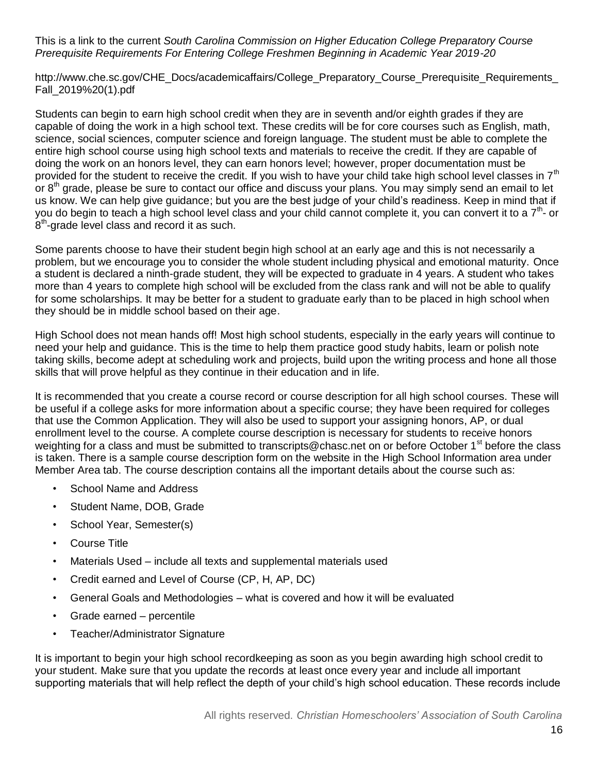#### This is a link to the current *South Carolina Commission on Higher Education College Preparatory Course Prerequisite Requirements For Entering College Freshmen Beginning in Academic Year 2019-20*

http://www.che.sc.gov/CHE\_Docs/academicaffairs/College\_Preparatory\_Course\_Prerequisite\_Requirements Fall\_2019%20(1).pdf

Students can begin to earn high school credit when they are in seventh and/or eighth grades if they are capable of doing the work in a high school text. These credits will be for core courses such as English, math, science, social sciences, computer science and foreign language. The student must be able to complete the entire high school course using high school texts and materials to receive the credit. If they are capable of doing the work on an honors level, they can earn honors level; however, proper documentation must be provided for the student to receive the credit. If you wish to have your child take high school level classes in  $7<sup>th</sup>$ or 8<sup>th</sup> grade, please be sure to contact our office and discuss your plans. You may simply send an email to let us know. We can help give guidance; but you are the best judge of your child's readiness. Keep in mind that if you do begin to teach a high school level class and your child cannot complete it, you can convert it to a 7<sup>th</sup>- or  $8<sup>th</sup>$ -grade level class and record it as such.

Some parents choose to have their student begin high school at an early age and this is not necessarily a problem, but we encourage you to consider the whole student including physical and emotional maturity. Once a student is declared a ninth-grade student, they will be expected to graduate in 4 years. A student who takes more than 4 years to complete high school will be excluded from the class rank and will not be able to qualify for some scholarships. It may be better for a student to graduate early than to be placed in high school when they should be in middle school based on their age.

High School does not mean hands off! Most high school students, especially in the early years will continue to need your help and guidance. This is the time to help them practice good study habits, learn or polish note taking skills, become adept at scheduling work and projects, build upon the writing process and hone all those skills that will prove helpful as they continue in their education and in life.

It is recommended that you create a course record or course description for all high school courses. These will be useful if a college asks for more information about a specific course; they have been required for colleges that use the Common Application. They will also be used to support your assigning honors, AP, or dual enrollment level to the course. A complete course description is necessary for students to receive honors weighting for a class and must be submitted to transcripts@chasc.net on or before October 1<sup>st</sup> before the class is taken. There is a sample course description form on the website in the High School Information area under Member Area tab. The course description contains all the important details about the course such as:

- School Name and Address
- Student Name, DOB, Grade
- School Year, Semester(s)
- Course Title
- Materials Used include all texts and supplemental materials used
- Credit earned and Level of Course (CP, H, AP, DC)
- General Goals and Methodologies what is covered and how it will be evaluated
- Grade earned percentile
- Teacher/Administrator Signature

It is important to begin your high school recordkeeping as soon as you begin awarding high school credit to your student. Make sure that you update the records at least once every year and include all important supporting materials that will help reflect the depth of your child's high school education. These records include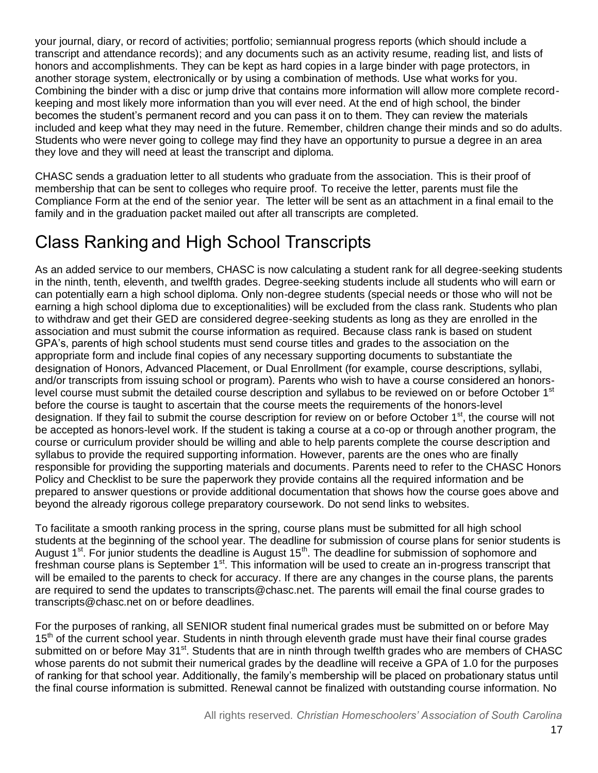your journal, diary, or record of activities; portfolio; semiannual progress reports (which should include a transcript and attendance records); and any documents such as an activity resume, reading list, and lists of honors and accomplishments. They can be kept as hard copies in a large binder with page protectors, in another storage system, electronically or by using a combination of methods. Use what works for you. Combining the binder with a disc or jump drive that contains more information will allow more complete recordkeeping and most likely more information than you will ever need. At the end of high school, the binder becomes the student's permanent record and you can pass it on to them. They can review the materials included and keep what they may need in the future. Remember, children change their minds and so do adults. Students who were never going to college may find they have an opportunity to pursue a degree in an area they love and they will need at least the transcript and diploma.

CHASC sends a graduation letter to all students who graduate from the association. This is their proof of membership that can be sent to colleges who require proof. To receive the letter, parents must file the Compliance Form at the end of the senior year. The letter will be sent as an attachment in a final email to the family and in the graduation packet mailed out after all transcripts are completed.

# Class Ranking and High School Transcripts

As an added service to our members, CHASC is now calculating a student rank for all degree-seeking students in the ninth, tenth, eleventh, and twelfth grades. Degree-seeking students include all students who will earn or can potentially earn a high school diploma. Only non-degree students (special needs or those who will not be earning a high school diploma due to exceptionalities) will be excluded from the class rank. Students who plan to withdraw and get their GED are considered degree-seeking students as long as they are enrolled in the association and must submit the course information as required. Because class rank is based on student GPA's, parents of high school students must send course titles and grades to the association on the appropriate form and include final copies of any necessary supporting documents to substantiate the designation of Honors, Advanced Placement, or Dual Enrollment (for example, course descriptions, syllabi, and/or transcripts from issuing school or program). Parents who wish to have a course considered an honorslevel course must submit the detailed course description and syllabus to be reviewed on or before October 1st before the course is taught to ascertain that the course meets the requirements of the honors-level designation. If they fail to submit the course description for review on or before October 1<sup>st</sup>, the course will not be accepted as honors-level work. If the student is taking a course at a co-op or through another program, the course or curriculum provider should be willing and able to help parents complete the course description and syllabus to provide the required supporting information. However, parents are the ones who are finally responsible for providing the supporting materials and documents. Parents need to refer to the CHASC Honors Policy and Checklist to be sure the paperwork they provide contains all the required information and be prepared to answer questions or provide additional documentation that shows how the course goes above and beyond the already rigorous college preparatory coursework. Do not send links to websites.

To facilitate a smooth ranking process in the spring, course plans must be submitted for all high school students at the beginning of the school year. The deadline for submission of course plans for senior students is August 1<sup>st</sup>. For junior students the deadline is August 15<sup>th</sup>. The deadline for submission of sophomore and freshman course plans is September 1<sup>st</sup>. This information will be used to create an in-progress transcript that will be emailed to the parents to check for accuracy. If there are any changes in the course plans, the parents are required to send the updates to transcripts@chasc.net. The parents will email the final course grades to transcripts@chasc.net on or before deadlines.

For the purposes of ranking, all SENIOR student final numerical grades must be submitted on or before May 15<sup>th</sup> of the current school year. Students in ninth through eleventh grade must have their final course grades submitted on or before May 31<sup>st</sup>. Students that are in ninth through twelfth grades who are members of CHASC whose parents do not submit their numerical grades by the deadline will receive a GPA of 1.0 for the purposes of ranking for that school year. Additionally, the family's membership will be placed on probationary status until the final course information is submitted. Renewal cannot be finalized with outstanding course information. No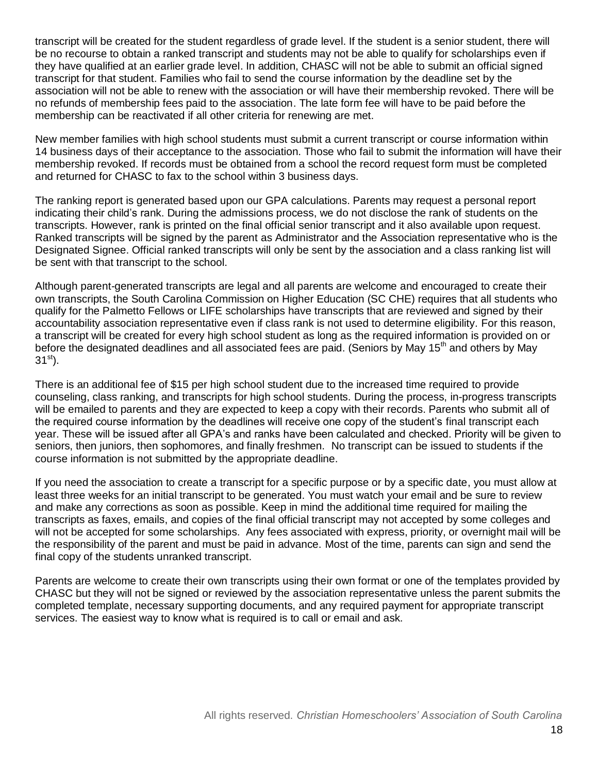transcript will be created for the student regardless of grade level. If the student is a senior student, there will be no recourse to obtain a ranked transcript and students may not be able to qualify for scholarships even if they have qualified at an earlier grade level. In addition, CHASC will not be able to submit an official signed transcript for that student. Families who fail to send the course information by the deadline set by the association will not be able to renew with the association or will have their membership revoked. There will be no refunds of membership fees paid to the association. The late form fee will have to be paid before the membership can be reactivated if all other criteria for renewing are met.

New member families with high school students must submit a current transcript or course information within 14 business days of their acceptance to the association. Those who fail to submit the information will have their membership revoked. If records must be obtained from a school the record request form must be completed and returned for CHASC to fax to the school within 3 business days.

The ranking report is generated based upon our GPA calculations. Parents may request a personal report indicating their child's rank. During the admissions process, we do not disclose the rank of students on the transcripts. However, rank is printed on the final official senior transcript and it also available upon request. Ranked transcripts will be signed by the parent as Administrator and the Association representative who is the Designated Signee. Official ranked transcripts will only be sent by the association and a class ranking list will be sent with that transcript to the school.

Although parent-generated transcripts are legal and all parents are welcome and encouraged to create their own transcripts, the South Carolina Commission on Higher Education (SC CHE) requires that all students who qualify for the Palmetto Fellows or LIFE scholarships have transcripts that are reviewed and signed by their accountability association representative even if class rank is not used to determine eligibility. For this reason, a transcript will be created for every high school student as long as the required information is provided on or before the designated deadlines and all associated fees are paid. (Seniors by May 15<sup>th</sup> and others by May  $31^{st}$ ).

There is an additional fee of \$15 per high school student due to the increased time required to provide counseling, class ranking, and transcripts for high school students. During the process, in-progress transcripts will be emailed to parents and they are expected to keep a copy with their records. Parents who submit all of the required course information by the deadlines will receive one copy of the student's final transcript each year. These will be issued after all GPA's and ranks have been calculated and checked. Priority will be given to seniors, then juniors, then sophomores, and finally freshmen. No transcript can be issued to students if the course information is not submitted by the appropriate deadline.

If you need the association to create a transcript for a specific purpose or by a specific date, you must allow at least three weeks for an initial transcript to be generated. You must watch your email and be sure to review and make any corrections as soon as possible. Keep in mind the additional time required for mailing the transcripts as faxes, emails, and copies of the final official transcript may not accepted by some colleges and will not be accepted for some scholarships. Any fees associated with express, priority, or overnight mail will be the responsibility of the parent and must be paid in advance. Most of the time, parents can sign and send the final copy of the students unranked transcript.

Parents are welcome to create their own transcripts using their own format or one of the templates provided by CHASC but they will not be signed or reviewed by the association representative unless the parent submits the completed template, necessary supporting documents, and any required payment for appropriate transcript services. The easiest way to know what is required is to call or email and ask.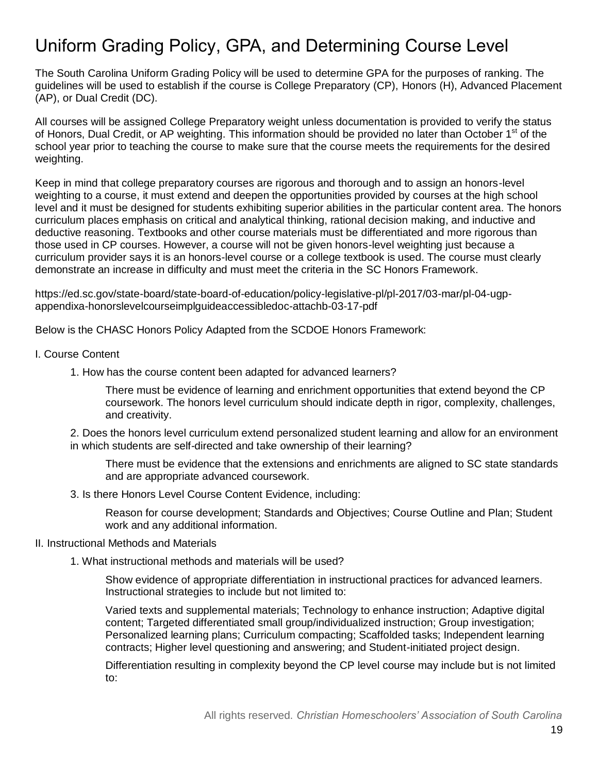# Uniform Grading Policy, GPA, and Determining Course Level

The South Carolina Uniform Grading Policy will be used to determine GPA for the purposes of ranking. The guidelines will be used to establish if the course is College Preparatory (CP), Honors (H), Advanced Placement (AP), or Dual Credit (DC).

All courses will be assigned College Preparatory weight unless documentation is provided to verify the status of Honors, Dual Credit, or AP weighting. This information should be provided no later than October 1<sup>st</sup> of the school year prior to teaching the course to make sure that the course meets the requirements for the desired weighting.

Keep in mind that college preparatory courses are rigorous and thorough and to assign an honors-level weighting to a course, it must extend and deepen the opportunities provided by courses at the high school level and it must be designed for students exhibiting superior abilities in the particular content area. The honors curriculum places emphasis on critical and analytical thinking, rational decision making, and inductive and deductive reasoning. Textbooks and other course materials must be differentiated and more rigorous than those used in CP courses. However, a course will not be given honors-level weighting just because a curriculum provider says it is an honors-level course or a college textbook is used. The course must clearly demonstrate an increase in difficulty and must meet the criteria in the SC Honors Framework.

https://ed.sc.gov/state-board/state-board-of-education/policy-legislative-pl/pl-2017/03-mar/pl-04-ugpappendixa-honorslevelcourseimplguideaccessibledoc-attachb-03-17-pdf

Below is the CHASC Honors Policy Adapted from the SCDOE Honors Framework:

- I. Course Content
	- 1. How has the course content been adapted for advanced learners?

There must be evidence of learning and enrichment opportunities that extend beyond the CP coursework. The honors level curriculum should indicate depth in rigor, complexity, challenges, and creativity.

2. Does the honors level curriculum extend personalized student learning and allow for an environment in which students are self-directed and take ownership of their learning?

There must be evidence that the extensions and enrichments are aligned to SC state standards and are appropriate advanced coursework.

3. Is there Honors Level Course Content Evidence, including:

Reason for course development; Standards and Objectives; Course Outline and Plan; Student work and any additional information.

#### II. Instructional Methods and Materials

1. What instructional methods and materials will be used?

Show evidence of appropriate differentiation in instructional practices for advanced learners. Instructional strategies to include but not limited to:

Varied texts and supplemental materials; Technology to enhance instruction; Adaptive digital content; Targeted differentiated small group/individualized instruction; Group investigation; Personalized learning plans; Curriculum compacting; Scaffolded tasks; Independent learning contracts; Higher level questioning and answering; and Student-initiated project design.

Differentiation resulting in complexity beyond the CP level course may include but is not limited to: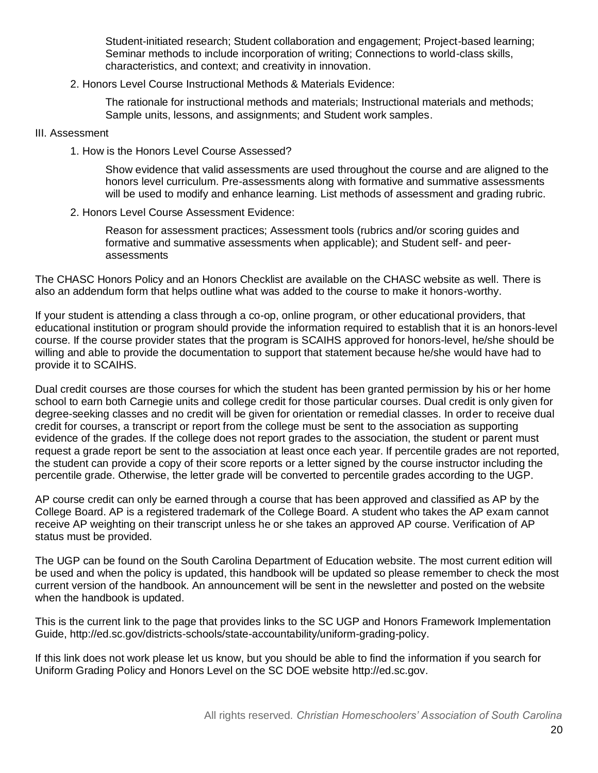Student-initiated research; Student collaboration and engagement; Project-based learning; Seminar methods to include incorporation of writing; Connections to world-class skills, characteristics, and context; and creativity in innovation.

2. Honors Level Course Instructional Methods & Materials Evidence:

The rationale for instructional methods and materials; Instructional materials and methods; Sample units, lessons, and assignments; and Student work samples.

#### III. Assessment

1. How is the Honors Level Course Assessed?

Show evidence that valid assessments are used throughout the course and are aligned to the honors level curriculum. Pre-assessments along with formative and summative assessments will be used to modify and enhance learning. List methods of assessment and grading rubric.

2. Honors Level Course Assessment Evidence:

Reason for assessment practices; Assessment tools (rubrics and/or scoring guides and formative and summative assessments when applicable); and Student self- and peerassessments

The CHASC Honors Policy and an Honors Checklist are available on the CHASC website as well. There is also an addendum form that helps outline what was added to the course to make it honors-worthy.

If your student is attending a class through a co-op, online program, or other educational providers, that educational institution or program should provide the information required to establish that it is an honors-level course. If the course provider states that the program is SCAIHS approved for honors-level, he/she should be willing and able to provide the documentation to support that statement because he/she would have had to provide it to SCAIHS.

Dual credit courses are those courses for which the student has been granted permission by his or her home school to earn both Carnegie units and college credit for those particular courses. Dual credit is only given for degree-seeking classes and no credit will be given for orientation or remedial classes. In order to receive dual credit for courses, a transcript or report from the college must be sent to the association as supporting evidence of the grades. If the college does not report grades to the association, the student or parent must request a grade report be sent to the association at least once each year. If percentile grades are not reported, the student can provide a copy of their score reports or a letter signed by the course instructor including the percentile grade. Otherwise, the letter grade will be converted to percentile grades according to the UGP.

AP course credit can only be earned through a course that has been approved and classified as AP by the College Board. AP is a registered trademark of the College Board. A student who takes the AP exam cannot receive AP weighting on their transcript unless he or she takes an approved AP course. Verification of AP status must be provided.

The UGP can be found on the South Carolina Department of Education website. The most current edition will be used and when the policy is updated, this handbook will be updated so please remember to check the most current version of the handbook. An announcement will be sent in the newsletter and posted on the website when the handbook is updated.

This is the current link to the page that provides links to the SC UGP and Honors Framework Implementation Guide, http://ed.sc.gov/districts-schools/state-accountability/uniform-grading-policy.

If this link does not work please let us know, but you should be able to find the information if you search for Uniform Grading Policy and Honors Level on the SC DOE website http://ed.sc.gov.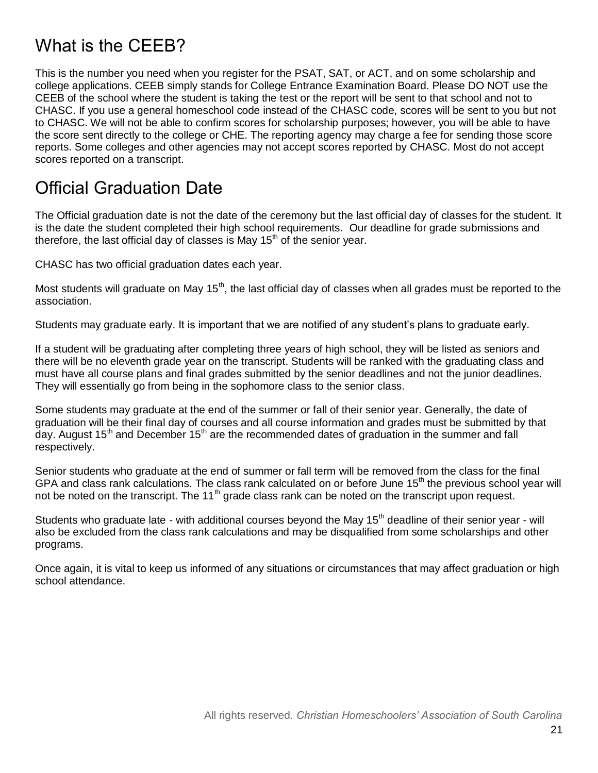# What is the CFFB?

This is the number you need when you register for the PSAT, SAT, or ACT, and on some scholarship and college applications. CEEB simply stands for College Entrance Examination Board. Please DO NOT use the CEEB of the school where the student is taking the test or the report will be sent to that school and not to CHASC. If you use a general homeschool code instead of the CHASC code, scores will be sent to you but not to CHASC. We will not be able to confirm scores for scholarship purposes; however, you will be able to have the score sent directly to the college or CHE. The reporting agency may charge a fee for sending those score reports. Some colleges and other agencies may not accept scores reported by CHASC. Most do not accept scores reported on a transcript.

#### Official Graduation Date

The Official graduation date is not the date of the ceremony but the last official day of classes for the student. It is the date the student completed their high school requirements. Our deadline for grade submissions and therefore, the last official day of classes is May  $15<sup>th</sup>$  of the senior year.

CHASC has two official graduation dates each year.

Most students will graduate on May 15<sup>th</sup>, the last official day of classes when all grades must be reported to the association.

Students may graduate early. It is important that we are notified of any student's plans to graduate early.

If a student will be graduating after completing three years of high school, they will be listed as seniors and there will be no eleventh grade year on the transcript. Students will be ranked with the graduating class and must have all course plans and final grades submitted by the senior deadlines and not the junior deadlines. They will essentially go from being in the sophomore class to the senior class.

Some students may graduate at the end of the summer or fall of their senior year. Generally, the date of graduation will be their final day of courses and all course information and grades must be submitted by that day. August 15<sup>th</sup> and December 15<sup>th</sup> are the recommended dates of graduation in the summer and fall respectively.

Senior students who graduate at the end of summer or fall term will be removed from the class for the final GPA and class rank calculations. The class rank calculated on or before June 15<sup>th</sup> the previous school year will not be noted on the transcript. The 11<sup>th</sup> grade class rank can be noted on the transcript upon request.

Students who graduate late - with additional courses beyond the May 15<sup>th</sup> deadline of their senior year - will also be excluded from the class rank calculations and may be disqualified from some scholarships and other programs.

Once again, it is vital to keep us informed of any situations or circumstances that may affect graduation or high school attendance.